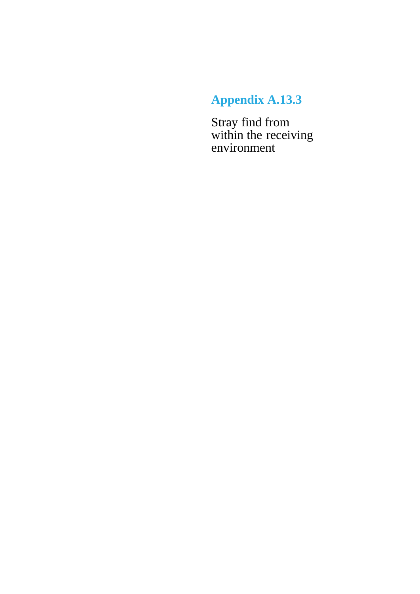## **Appendix A.13.3**

Stray find from within the receiving environment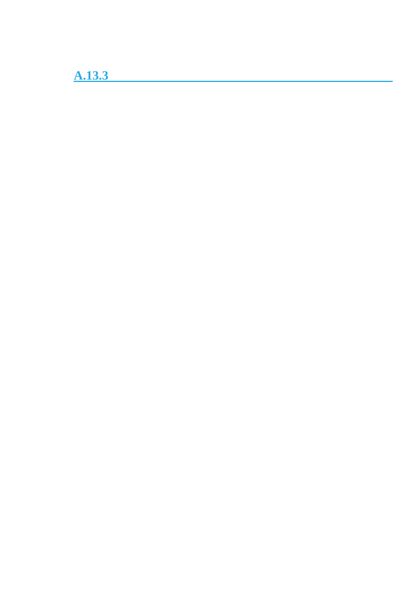**A.13.3**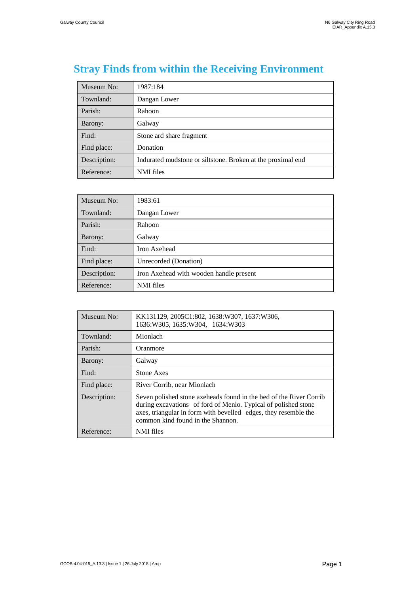## **Stray Finds from within the Receiving Environment**

| Museum No:   | 1987:184                                                    |
|--------------|-------------------------------------------------------------|
| Townland:    | Dangan Lower                                                |
| Parish:      | Rahoon                                                      |
| Barony:      | Galway                                                      |
| Find:        | Stone ard share fragment                                    |
| Find place:  | Donation                                                    |
| Description: | Indurated mudstone or siltstone. Broken at the proximal end |
| Reference:   | <b>NMI</b> files                                            |

| Museum No:   | 1983:61                                 |
|--------------|-----------------------------------------|
| Townland:    | Dangan Lower                            |
| Parish:      | Rahoon                                  |
| Barony:      | Galway                                  |
| Find:        | Iron Axehead                            |
| Find place:  | Unrecorded (Donation)                   |
| Description: | Iron Axehead with wooden handle present |
| Reference:   | <b>NMI</b> files                        |

| Museum No:   | KK131129, 2005C1:802, 1638:W307, 1637:W306,<br>1636:W305, 1635:W304, 1634:W303                                                                                                                                                               |
|--------------|----------------------------------------------------------------------------------------------------------------------------------------------------------------------------------------------------------------------------------------------|
| Townland:    | Mionlach                                                                                                                                                                                                                                     |
| Parish:      | Oranmore                                                                                                                                                                                                                                     |
| Barony:      | Galway                                                                                                                                                                                                                                       |
| Find:        | <b>Stone Axes</b>                                                                                                                                                                                                                            |
| Find place:  | River Corrib, near Mionlach                                                                                                                                                                                                                  |
| Description: | Seven polished stone axeheads found in the bed of the River Corrib<br>during excavations of ford of Menlo. Typical of polished stone<br>axes, triangular in form with bevelled edges, they resemble the<br>common kind found in the Shannon. |
| Reference:   | NMI files                                                                                                                                                                                                                                    |